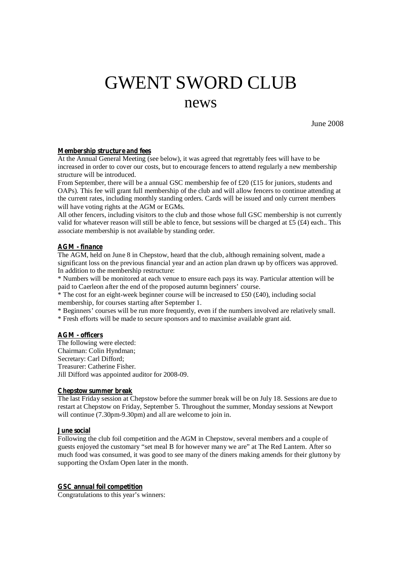# GWENT SWORD CLUB

# news

June 2008

#### **Membership structure and fees**

At the Annual General Meeting (see below), it was agreed that regrettably fees will have to be increased in order to cover our costs, but to encourage fencers to attend regularly a new membership structure will be introduced.

From September, there will be a annual GSC membership fee of £20 (£15 for juniors, students and OAPs). This fee will grant full membership of the club and will allow fencers to continue attending at the current rates, including monthly standing orders. Cards will be issued and only current members will have voting rights at the AGM or EGMs.

All other fencers, including visitors to the club and those whose full GSC membership is not currently valid for whatever reason will still be able to fence, but sessions will be charged at £5  $(fA)$  each.. This associate membership is not available by standing order.

## **AGM - finance**

The AGM, held on June 8 in Chepstow, heard that the club, although remaining solvent, made a significant loss on the previous financial year and an action plan drawn up by officers was approved. In addition to the membership restructure:

\* Numbers will be monitored at each venue to ensure each pays its way. Particular attention will be paid to Caerleon after the end of the proposed autumn beginners' course.

 $*$  The cost for an eight-week beginner course will be increased to £50 (£40), including social membership, for courses starting after September 1.

\* Beginners' courses will be run more frequently, even if the numbers involved are relatively small.

\* Fresh efforts will be made to secure sponsors and to maximise available grant aid.

## **AGM - officers**

The following were elected: Chairman: Colin Hyndman; Secretary: Carl Difford; Treasurer: Catherine Fisher. Jill Difford was appointed auditor for 2008-09.

#### **Chepstow summer break**

The last Friday session at Chepstow before the summer break will be on July 18. Sessions are due to restart at Chepstow on Friday, September 5. Throughout the summer, Monday sessions at Newport will continue (7.30pm-9.30pm) and all are welcome to join in.

#### **June social**

Following the club foil competition and the AGM in Chepstow, several members and a couple of guests enjoyed the customary "set meal B for however many we are" at The Red Lantern. After so much food was consumed, it was good to see many of the diners making amends for their gluttony by supporting the Oxfam Open later in the month.

#### **GSC annual foil competition**

Congratulations to this year's winners: